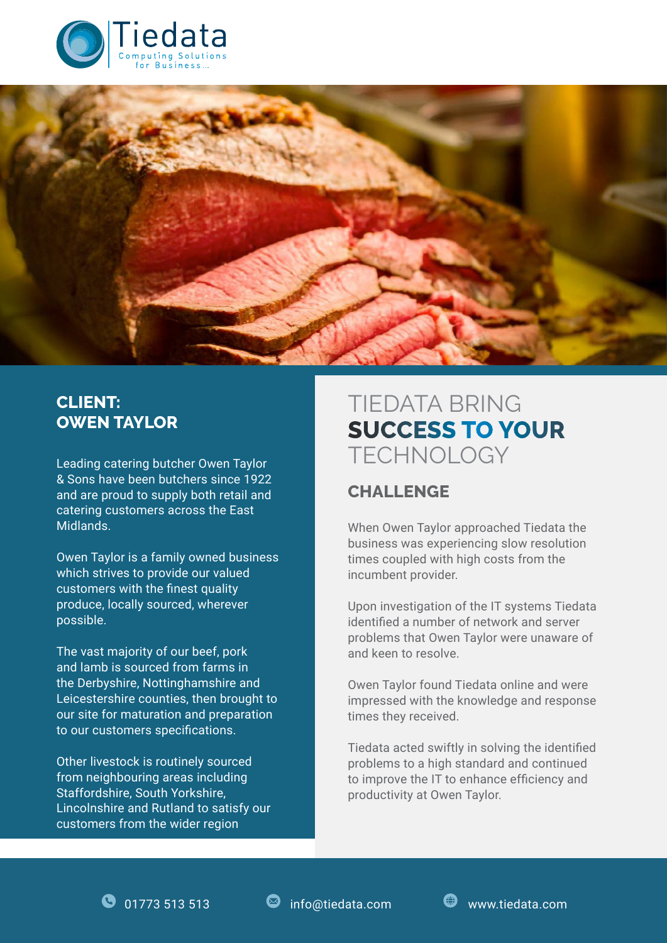



### **CLIENT: OWEN TAYLOR**

& Sons have been butchers since 1922 and are proud to supply both retail and catering customers across the East Midlands.

Owen Taylor is a family owned business which strives to provide our valued customers with the finest quality produce, locally sourced, wherever possible.

The vast majority of our beef, pork and lamb is sourced from farms in the Derbyshire, Nottinghamshire and Leicestershire counties, then brought to our site for maturation and preparation to our customers specifications.

Other livestock is routinely sourced from neighbouring areas including Staffordshire, South Yorkshire, Lincolnshire and Rutland to satisfy our customers from the wider region

# TIEDATA BRING **SUCCESS TO YOUR** Leading catering butcher Owen Taylor TECHNOLOGY

## **CHALLENGE**

When Owen Taylor approached Tiedata the business was experiencing slow resolution times coupled with high costs from the incumbent provider.

Upon investigation of the IT systems Tiedata identified a number of network and server problems that Owen Taylor were unaware of and keen to resolve.

Owen Taylor found Tiedata online and were impressed with the knowledge and response times they received.

Tiedata acted swiftly in solving the identified problems to a high standard and continued to improve the IT to enhance efficiency and productivity at Owen Taylor.